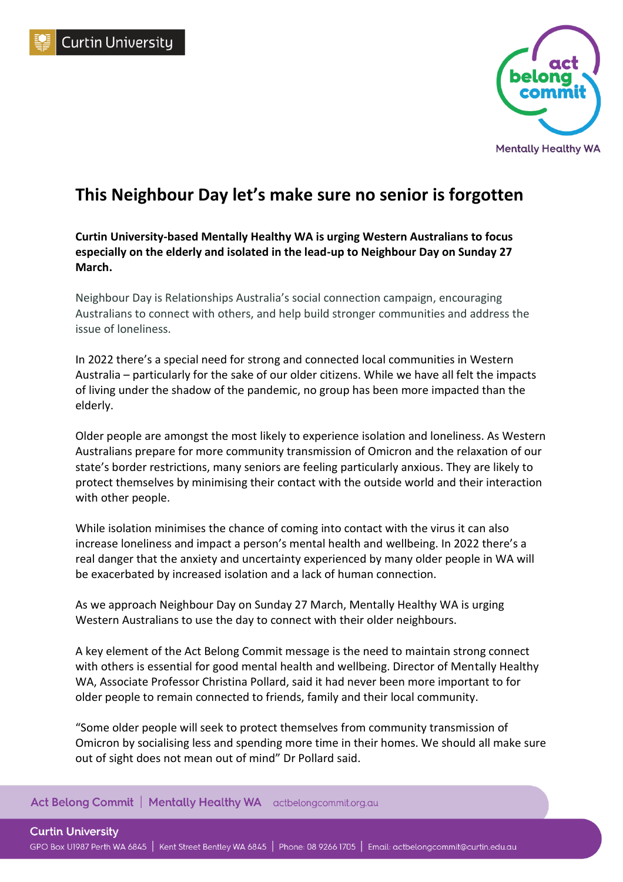



## **This Neighbour Day let's make sure no senior is forgotten**

**Curtin University-based Mentally Healthy WA is urging Western Australians to focus especially on the elderly and isolated in the lead-up to Neighbour Day on Sunday 27 March.**

Neighbour Day is Relationships Australia's social connection campaign, encouraging Australians to connect with others, and help build stronger communities and address the issue of loneliness.

In 2022 there's a special need for strong and connected local communities in Western Australia – particularly for the sake of our older citizens. While we have all felt the impacts of living under the shadow of the pandemic, no group has been more impacted than the elderly.

Older people are amongst the most likely to experience isolation and loneliness. As Western Australians prepare for more community transmission of Omicron and the relaxation of our state's border restrictions, many seniors are feeling particularly anxious. They are likely to protect themselves by minimising their contact with the outside world and their interaction with other people.

While isolation minimises the chance of coming into contact with the virus it can also increase loneliness and impact a person's mental health and wellbeing. In 2022 there's a real danger that the anxiety and uncertainty experienced by many older people in WA will be exacerbated by increased isolation and a lack of human connection.

As we approach Neighbour Day on Sunday 27 March, Mentally Healthy WA is urging Western Australians to use the day to connect with their older neighbours.

A key element of the Act Belong Commit message is the need to maintain strong connect with others is essential for good mental health and wellbeing. Director of Mentally Healthy WA, Associate Professor Christina Pollard, said it had never been more important to for older people to remain connected to friends, family and their local community.

"Some older people will seek to protect themselves from community transmission of Omicron by socialising less and spending more time in their homes. We should all make sure out of sight does not mean out of mind" Dr Pollard said.

## Act Belong Commit | Mentally Healthy WA actbelongcommit.org.au

**Curtin University** GPO Box U1987 Perth WA 6845 | Kent Street Bentley WA 6845 | Phone: 08 9266 1705 | Email: actbelongcommit@curtin.edu.au